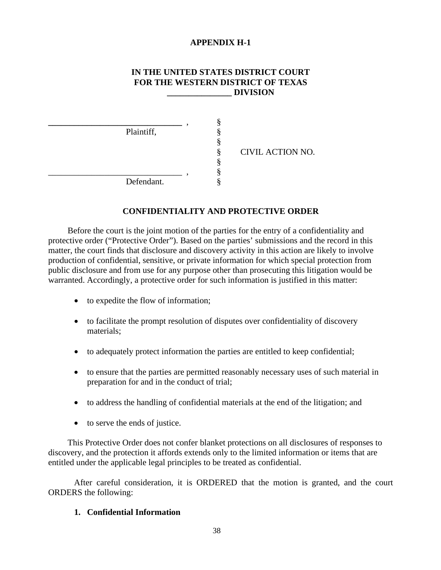### **APPENDIX H-1**

#### **IN THE UNITED STATES DISTRICT COURT FOR THE WESTERN DISTRICT OF TEXAS \_\_\_\_\_\_\_\_\_\_\_\_\_\_\_ DIVISION**

| Plaintiff, |  | CIVIL ACTION NO. |  |
|------------|--|------------------|--|
| Defendant. |  |                  |  |

### **CONFIDENTIALITY AND PROTECTIVE ORDER**

Before the court is the joint motion of the parties for the entry of a confidentiality and protective order ("Protective Order"). Based on the parties' submissions and the record in this matter, the court finds that disclosure and discovery activity in this action are likely to involve production of confidential, sensitive, or private information for which special protection from public disclosure and from use for any purpose other than prosecuting this litigation would be warranted. Accordingly, a protective order for such information is justified in this matter:

- to expedite the flow of information;
- to facilitate the prompt resolution of disputes over confidentiality of discovery materials;
- to adequately protect information the parties are entitled to keep confidential;
- to ensure that the parties are permitted reasonably necessary uses of such material in preparation for and in the conduct of trial;
- to address the handling of confidential materials at the end of the litigation; and
- to serve the ends of justice.

This Protective Order does not confer blanket protections on all disclosures of responses to discovery, and the protection it affords extends only to the limited information or items that are entitled under the applicable legal principles to be treated as confidential.

After careful consideration, it is ORDERED that the motion is granted, and the court ORDERS the following:

### **1. Confidential Information**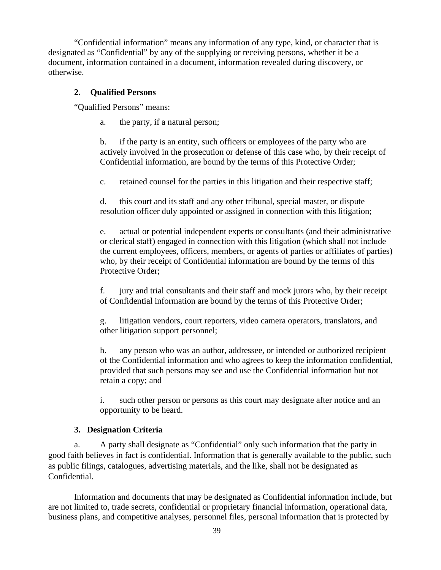"Confidential information" means any information of any type, kind, or character that is designated as "Confidential" by any of the supplying or receiving persons, whether it be a document, information contained in a document, information revealed during discovery, or otherwise.

## **2. Qualified Persons**

"Qualified Persons" means:

a. the party, if a natural person;

b. if the party is an entity, such officers or employees of the party who are actively involved in the prosecution or defense of this case who, by their receipt of Confidential information, are bound by the terms of this Protective Order;

c. retained counsel for the parties in this litigation and their respective staff;

d. this court and its staff and any other tribunal, special master, or dispute resolution officer duly appointed or assigned in connection with this litigation;

e. actual or potential independent experts or consultants (and their administrative or clerical staff) engaged in connection with this litigation (which shall not include the current employees, officers, members, or agents of parties or affiliates of parties) who, by their receipt of Confidential information are bound by the terms of this Protective Order;

f. jury and trial consultants and their staff and mock jurors who, by their receipt of Confidential information are bound by the terms of this Protective Order;

g. litigation vendors, court reporters, video camera operators, translators, and other litigation support personnel;

h. any person who was an author, addressee, or intended or authorized recipient of the Confidential information and who agrees to keep the information confidential, provided that such persons may see and use the Confidential information but not retain a copy; and

i. such other person or persons as this court may designate after notice and an opportunity to be heard.

## **3. Designation Criteria**

a. A party shall designate as "Confidential" only such information that the party in good faith believes in fact is confidential. Information that is generally available to the public, such as public filings, catalogues, advertising materials, and the like, shall not be designated as Confidential.

Information and documents that may be designated as Confidential information include, but are not limited to, trade secrets, confidential or proprietary financial information, operational data, business plans, and competitive analyses, personnel files, personal information that is protected by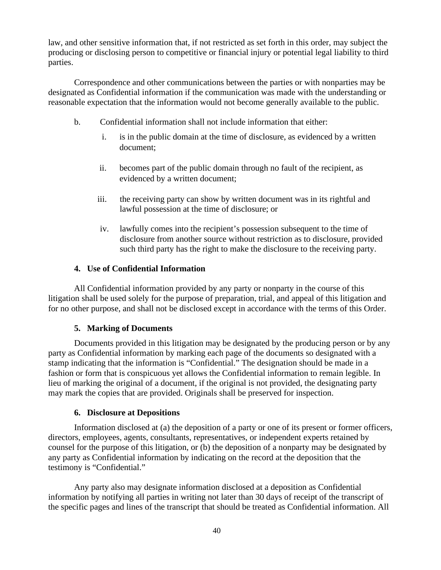law, and other sensitive information that, if not restricted as set forth in this order, may subject the producing or disclosing person to competitive or financial injury or potential legal liability to third parties.

Correspondence and other communications between the parties or with nonparties may be designated as Confidential information if the communication was made with the understanding or reasonable expectation that the information would not become generally available to the public.

- b. Confidential information shall not include information that either:
	- i. is in the public domain at the time of disclosure, as evidenced by a written document;
	- ii. becomes part of the public domain through no fault of the recipient, as evidenced by a written document;
	- iii. the receiving party can show by written document was in its rightful and lawful possession at the time of disclosure; or
	- iv. lawfully comes into the recipient's possession subsequent to the time of disclosure from another source without restriction as to disclosure, provided such third party has the right to make the disclosure to the receiving party.

## **4. Use of Confidential Information**

All Confidential information provided by any party or nonparty in the course of this litigation shall be used solely for the purpose of preparation, trial, and appeal of this litigation and for no other purpose, and shall not be disclosed except in accordance with the terms of this Order.

### **5. Marking of Documents**

Documents provided in this litigation may be designated by the producing person or by any party as Confidential information by marking each page of the documents so designated with a stamp indicating that the information is "Confidential." The designation should be made in a fashion or form that is conspicuous yet allows the Confidential information to remain legible. In lieu of marking the original of a document, if the original is not provided, the designating party may mark the copies that are provided. Originals shall be preserved for inspection.

### **6. Disclosure at Depositions**

Information disclosed at (a) the deposition of a party or one of its present or former officers, directors, employees, agents, consultants, representatives, or independent experts retained by counsel for the purpose of this litigation, or (b) the deposition of a nonparty may be designated by any party as Confidential information by indicating on the record at the deposition that the testimony is "Confidential."

Any party also may designate information disclosed at a deposition as Confidential information by notifying all parties in writing not later than 30 days of receipt of the transcript of the specific pages and lines of the transcript that should be treated as Confidential information. All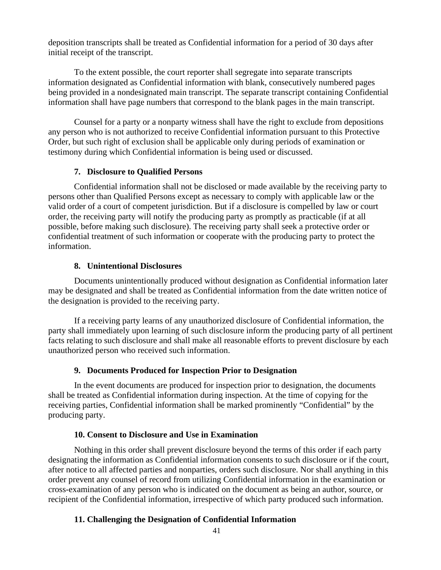deposition transcripts shall be treated as Confidential information for a period of 30 days after initial receipt of the transcript.

To the extent possible, the court reporter shall segregate into separate transcripts information designated as Confidential information with blank, consecutively numbered pages being provided in a nondesignated main transcript. The separate transcript containing Confidential information shall have page numbers that correspond to the blank pages in the main transcript.

Counsel for a party or a nonparty witness shall have the right to exclude from depositions any person who is not authorized to receive Confidential information pursuant to this Protective Order, but such right of exclusion shall be applicable only during periods of examination or testimony during which Confidential information is being used or discussed.

### **7. Disclosure to Qualified Persons**

Confidential information shall not be disclosed or made available by the receiving party to persons other than Qualified Persons except as necessary to comply with applicable law or the valid order of a court of competent jurisdiction. But if a disclosure is compelled by law or court order, the receiving party will notify the producing party as promptly as practicable (if at all possible, before making such disclosure). The receiving party shall seek a protective order or confidential treatment of such information or cooperate with the producing party to protect the information.

## **8. Unintentional Disclosures**

Documents unintentionally produced without designation as Confidential information later may be designated and shall be treated as Confidential information from the date written notice of the designation is provided to the receiving party.

If a receiving party learns of any unauthorized disclosure of Confidential information, the party shall immediately upon learning of such disclosure inform the producing party of all pertinent facts relating to such disclosure and shall make all reasonable efforts to prevent disclosure by each unauthorized person who received such information.

## **9. Documents Produced for Inspection Prior to Designation**

In the event documents are produced for inspection prior to designation, the documents shall be treated as Confidential information during inspection. At the time of copying for the receiving parties, Confidential information shall be marked prominently "Confidential" by the producing party.

## **10. Consent to Disclosure and Use in Examination**

Nothing in this order shall prevent disclosure beyond the terms of this order if each party designating the information as Confidential information consents to such disclosure or if the court, after notice to all affected parties and nonparties, orders such disclosure. Nor shall anything in this order prevent any counsel of record from utilizing Confidential information in the examination or cross-examination of any person who is indicated on the document as being an author, source, or recipient of the Confidential information, irrespective of which party produced such information.

# **11. Challenging the Designation of Confidential Information**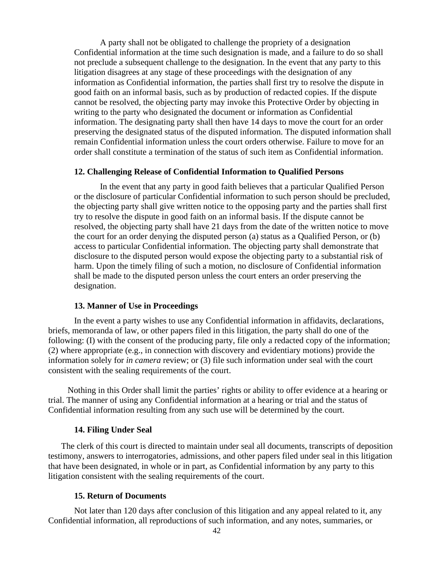A party shall not be obligated to challenge the propriety of a designation Confidential information at the time such designation is made, and a failure to do so shall not preclude a subsequent challenge to the designation. In the event that any party to this litigation disagrees at any stage of these proceedings with the designation of any information as Confidential information, the parties shall first try to resolve the dispute in good faith on an informal basis, such as by production of redacted copies. If the dispute cannot be resolved, the objecting party may invoke this Protective Order by objecting in writing to the party who designated the document or information as Confidential information. The designating party shall then have 14 days to move the court for an order preserving the designated status of the disputed information. The disputed information shall remain Confidential information unless the court orders otherwise. Failure to move for an order shall constitute a termination of the status of such item as Confidential information.

#### **12. Challenging Release of Confidential Information to Qualified Persons**

In the event that any party in good faith believes that a particular Qualified Person or the disclosure of particular Confidential information to such person should be precluded, the objecting party shall give written notice to the opposing party and the parties shall first try to resolve the dispute in good faith on an informal basis. If the dispute cannot be resolved, the objecting party shall have 21 days from the date of the written notice to move the court for an order denying the disputed person (a) status as a Qualified Person, or (b) access to particular Confidential information. The objecting party shall demonstrate that disclosure to the disputed person would expose the objecting party to a substantial risk of harm. Upon the timely filing of such a motion, no disclosure of Confidential information shall be made to the disputed person unless the court enters an order preserving the designation.

#### **13. Manner of Use in Proceedings**

In the event a party wishes to use any Confidential information in affidavits, declarations, briefs, memoranda of law, or other papers filed in this litigation, the party shall do one of the following: (I) with the consent of the producing party, file only a redacted copy of the information; (2) where appropriate (e.g., in connection with discovery and evidentiary motions) provide the information solely for *in camera* review; or (3) file such information under seal with the court consistent with the sealing requirements of the court.

Nothing in this Order shall limit the parties' rights or ability to offer evidence at a hearing or trial. The manner of using any Confidential information at a hearing or trial and the status of Confidential information resulting from any such use will be determined by the court.

#### **14. Filing Under Seal**

 The clerk of this court is directed to maintain under seal all documents, transcripts of deposition testimony, answers to interrogatories, admissions, and other papers filed under seal in this litigation that have been designated, in whole or in part, as Confidential information by any party to this litigation consistent with the sealing requirements of the court.

#### **15. Return of Documents**

Not later than 120 days after conclusion of this litigation and any appeal related to it, any Confidential information, all reproductions of such information, and any notes, summaries, or